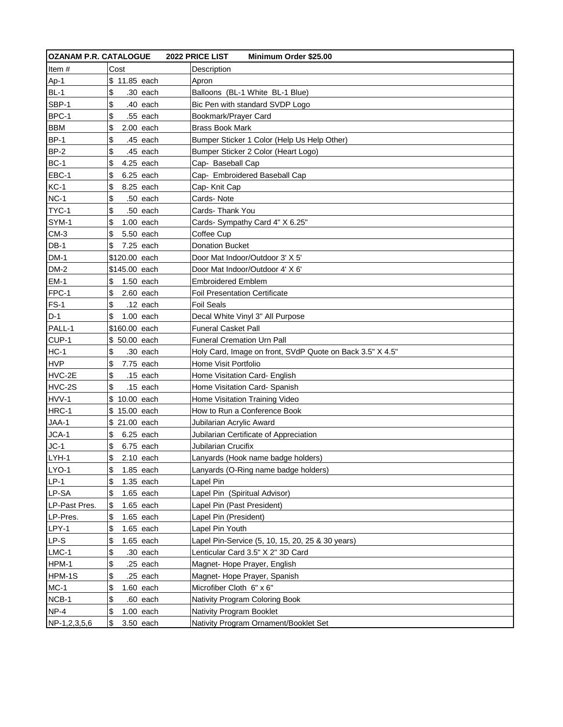| <b>OZANAM P.R. CATALOGUE</b> |                   | 2022 PRICE LIST<br>Minimum Order \$25.00                  |
|------------------------------|-------------------|-----------------------------------------------------------|
| Item $#$                     | Cost              | Description                                               |
| Ap-1                         | \$ 11.85 each     | Apron                                                     |
| $BL-1$                       | \$<br>.30 each    | Balloons (BL-1 White BL-1 Blue)                           |
| SBP-1                        | \$<br>.40 each    | Bic Pen with standard SVDP Logo                           |
| BPC-1                        | \$<br>.55 each    | Bookmark/Prayer Card                                      |
| <b>BBM</b>                   | \$<br>$2.00$ each | <b>Brass Book Mark</b>                                    |
| <b>BP-1</b>                  | \$<br>.45 each    | Bumper Sticker 1 Color (Help Us Help Other)               |
| <b>BP-2</b>                  | \$<br>.45 each    | Bumper Sticker 2 Color (Heart Logo)                       |
| <b>BC-1</b>                  | \$<br>4.25 each   | Cap- Baseball Cap                                         |
| EBC-1                        | \$<br>6.25 each   | Cap- Embroidered Baseball Cap                             |
| $KC-1$                       | \$<br>8.25 each   | Cap- Knit Cap                                             |
| $NC-1$                       | \$<br>.50 each    | Cards-Note                                                |
| TYC-1                        | \$<br>.50 each    | Cards- Thank You                                          |
| SYM-1                        | \$<br>1.00 each   | Cards- Sympathy Card 4" X 6.25"                           |
| $CM-3$                       | \$<br>5.50 each   | Coffee Cup                                                |
| $DB-1$                       | \$<br>7.25 each   | <b>Donation Bucket</b>                                    |
| $DM-1$                       | \$120.00 each     | Door Mat Indoor/Outdoor 3' X 5'                           |
| $DM-2$                       | \$145.00 each     | Door Mat Indoor/Outdoor 4' X 6'                           |
| $EM-1$                       | \$<br>1.50 each   | <b>Embroidered Emblem</b>                                 |
| FPC-1                        | \$<br>$2.60$ each | <b>Foil Presentation Certificate</b>                      |
| $FS-1$                       | \$<br>.12 each    | <b>Foil Seals</b>                                         |
| $D-1$                        | \$<br>$1.00$ each | Decal White Vinyl 3" All Purpose                          |
| PALL-1                       | \$160.00 each     | <b>Funeral Casket Pall</b>                                |
| CUP-1                        | \$ 50.00 each     | <b>Funeral Cremation Urn Pall</b>                         |
| $HC-1$                       | \$<br>.30 each    | Holy Card, Image on front, SVdP Quote on Back 3.5" X 4.5" |
| <b>HVP</b>                   | \$<br>7.75 each   | Home Visit Portfolio                                      |
| HVC-2E                       | \$<br>$.15$ each  | Home Visitation Card- English                             |
| HVC-2S                       | \$<br>.15 each    | Home Visitation Card- Spanish                             |
| HVV-1                        | \$ 10.00 each     | Home Visitation Training Video                            |
| HRC-1                        | \$ 15.00 each     | How to Run a Conference Book                              |
| JAA-1                        | \$ 21.00 each     | Jubilarian Acrylic Award                                  |
| JCA-1                        | \$<br>6.25 each   | Jubilarian Certificate of Appreciation                    |
| $JC-1$                       | \$<br>6.75 each   | Jubilarian Crucifix                                       |
| LYH-1                        | \$<br>$2.10$ each | Lanyards (Hook name badge holders)                        |
| LYO-1                        | \$<br>1.85 each   | Lanyards (O-Ring name badge holders)                      |
| $LP-1$                       | \$<br>1.35 each   | Lapel Pin                                                 |
| LP-SA                        | \$<br>1.65 each   | Lapel Pin (Spiritual Advisor)                             |
| LP-Past Pres.                | \$<br>1.65 each   | Lapel Pin (Past President)                                |
| LP-Pres.                     | \$<br>1.65 each   | Lapel Pin (President)                                     |
| LPY-1                        | \$<br>1.65 each   | Lapel Pin Youth                                           |
| LP-S                         | \$<br>1.65 each   | Lapel Pin-Service (5, 10, 15, 20, 25 & 30 years)          |
| $LMC-1$                      | \$<br>.30 each    | Lenticular Card 3.5" X 2" 3D Card                         |
| HPM-1                        | \$<br>.25 each    | Magnet-Hope Prayer, English                               |
| HPM-1S                       | \$<br>.25 each    | Magnet- Hope Prayer, Spanish                              |
| $MC-1$                       | \$<br>1.60 each   | Microfiber Cloth 6" x 6"                                  |
| NCB-1                        | \$<br>.60 each    | Nativity Program Coloring Book                            |
| $NP-4$                       | \$<br>$1.00$ each | Nativity Program Booklet                                  |
| NP-1,2,3,5,6                 | ß.<br>3.50 each   | Nativity Program Ornament/Booklet Set                     |